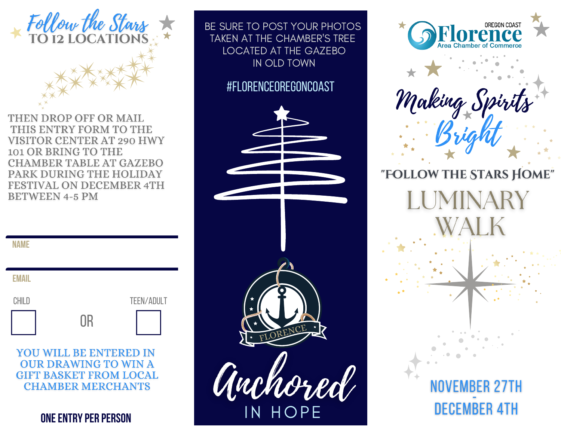

THEN DROP OFF OR MAIL THIS ENTRY FORM TO THE **VISITOR CENTER AT 290 HWY** 101 OR BRING TO THE **CHAMBER TABLE AT GAZEBO** PARK DURING THE HOLIDAY **FESTIVAL ON DECEMBER 4TH BETWEEN 4-5 PM** 

| <b>EMAIL</b> |    |            |
|--------------|----|------------|
| CHILD        |    | TEEN/ADULT |
|              | OR |            |

**YOU WILL BE ENTERED IN OUR DRAWING TO WIN A GIFT BASKET FROM LOCAL CHAMBER MERCHANTS** 

**ONE ENTRY PER PERSON** 

BE SURE TO POST YOUR PHOTOS TAKEN AT THE CHAMBER'S TREE LOCATED AT THE GAZEBO IN OLD TOWN

#FLORENCEOREGONCOAST





Making S Bright

"FOLLOW THE STARS HOME"

NOVEMBER 27TH

**DECEMBER 4TH** 

IINARY